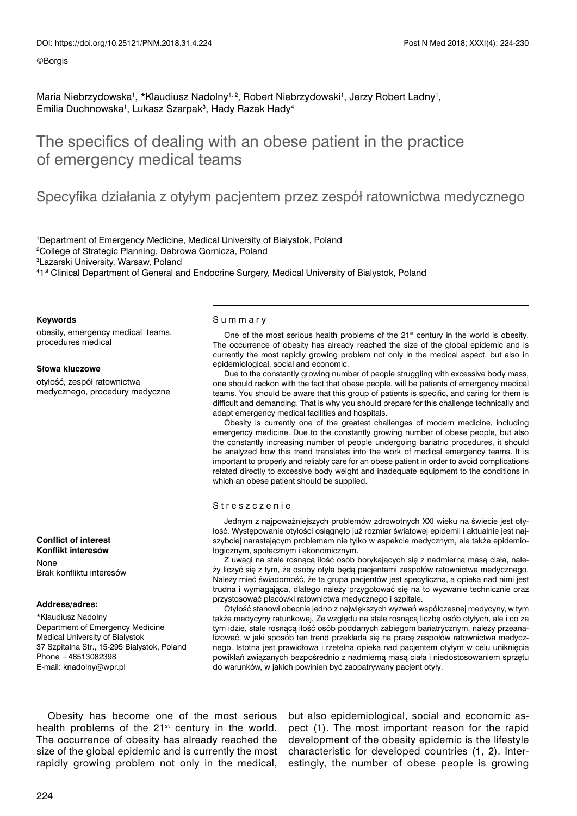## ©Borgis

Maria Niebrzydowska<sup>1</sup>, \*Klaudiusz Nadolny<sup>1, 2</sup>, Robert Niebrzydowski<sup>1</sup>, Jerzy Robert Ladny<sup>1</sup>, Emilia Duchnowska<sup>1</sup>, Lukasz Szarpak<sup>3</sup>, Hady Razak Hady<sup>4</sup>

# The specifics of dealing with an obese patient in the practice of emergency medical teams

## Specyfika działania z otyłym pacjentem przez zespół ratownictwa medycznego

 Department of Emergency Medicine, Medical University of Bialystok, Poland College of Strategic Planning, Dabrowa Gornicza, Poland Lazarski University, Warsaw, Poland 1st Clinical Department of General and Endocrine Surgery, Medical University of Bialystok, Poland

## **Keywords**

obesity, emergency medical teams, procedures medical

### **Słowa kluczowe**

otyłość, zespół ratownictwa medycznego, procedury medyczne

## **Conflict of interest Konflikt interesów**

None Brak konfliktu interesów

## **Address/adres:**

\*Klaudiusz Nadolny Department of Emergency Medicine Medical University of Bialystok 37 Szpitalna Str., 15-295 Bialystok, Poland Phone +48513082398 E-mail: knadolny@wpr.pl

### Summary

One of the most serious health problems of the 21<sup>st</sup> century in the world is obesity. The occurrence of obesity has already reached the size of the global epidemic and is currently the most rapidly growing problem not only in the medical aspect, but also in epidemiological, social and economic.

Due to the constantly growing number of people struggling with excessive body mass, one should reckon with the fact that obese people, will be patients of emergency medical teams. You should be aware that this group of patients is specific, and caring for them is difficult and demanding. That is why you should prepare for this challenge technically and adapt emergency medical facilities and hospitals.

Obesity is currently one of the greatest challenges of modern medicine, including emergency medicine. Due to the constantly growing number of obese people, but also the constantly increasing number of people undergoing bariatric procedures, it should be analyzed how this trend translates into the work of medical emergency teams. It is important to properly and reliably care for an obese patient in order to avoid complications related directly to excessive body weight and inadequate equipment to the conditions in which an obese patient should be supplied.

## Streszczenie

Jednym z najpoważniejszych problemów zdrowotnych XXI wieku na świecie jest otyłość. Występowanie otyłości osiągnęło już rozmiar światowej epidemii i aktualnie jest najszybciej narastającym problemem nie tylko w aspekcie medycznym, ale także epidemiologicznym, społecznym i ekonomicznym.

Z uwagi na stale rosnącą ilość osób borykających się z nadmierną masą ciała, należy liczyć się z tym, że osoby otyłe będą pacjentami zespołów ratownictwa medycznego. Należy mieć świadomość, że ta grupa pacjentów jest specyficzna, a opieka nad nimi jest trudna i wymagająca, dlatego należy przygotować się na to wyzwanie technicznie oraz przystosować placówki ratownictwa medycznego i szpitale.

Otyłość stanowi obecnie jedno z największych wyzwań współczesnej medycyny, w tym także medycyny ratunkowej. Ze względu na stale rosnącą liczbę osób otyłych, ale i co za tym idzie, stale rosnącą ilość osób poddanych zabiegom bariatrycznym, należy przeanalizować, w jaki sposób ten trend przekłada się na pracę zespołów ratownictwa medycznego. Istotna jest prawidłowa i rzetelna opieka nad pacjentem otyłym w celu uniknięcia powikłań związanych bezpośrednio z nadmierną masą ciała i niedostosowaniem sprzętu do warunków, w jakich powinien być zaopatrywany pacjent otyły.

Obesity has become one of the most serious health problems of the  $21<sup>st</sup>$  century in the world. The occurrence of obesity has already reached the size of the global epidemic and is currently the most rapidly growing problem not only in the medical,

but also epidemiological, social and economic aspect (1). The most important reason for the rapid development of the obesity epidemic is the lifestyle characteristic for developed countries (1, 2). Interestingly, the number of obese people is growing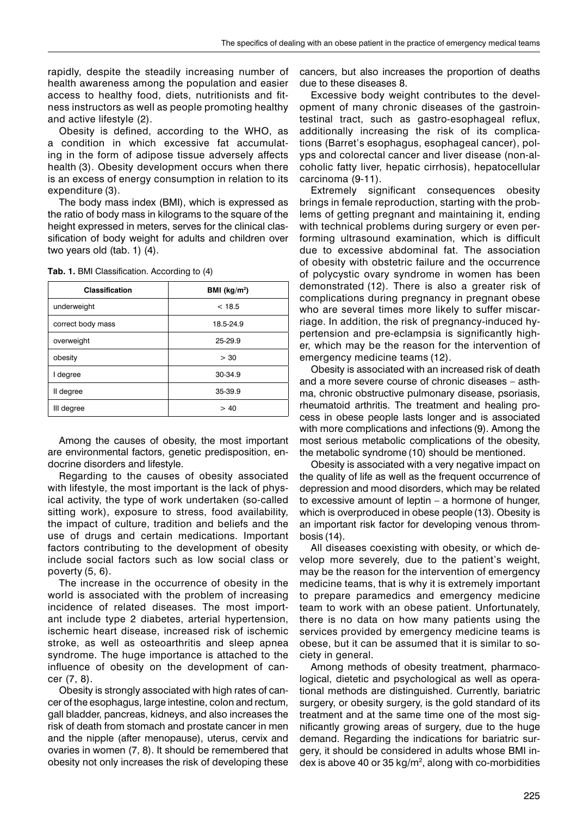rapidly, despite the steadily increasing number of health awareness among the population and easier access to healthy food, diets, nutritionists and fitness instructors as well as people promoting healthy and active lifestyle (2).

Obesity is defined, according to the WHO, as a condition in which excessive fat accumulating in the form of adipose tissue adversely affects health (3). Obesity development occurs when there is an excess of energy consumption in relation to its expenditure (3).

The body mass index (BMI), which is expressed as the ratio of body mass in kilograms to the square of the height expressed in meters, serves for the clinical classification of body weight for adults and children over two years old (tab. 1) (4).

| <b>Classification</b> | BMI ( $kg/m2$ ) |
|-----------------------|-----------------|
| underweight           | < 18.5          |
| correct body mass     | 18.5-24.9       |
| overweight            | 25-29.9         |
| obesity               | > 30            |
| I degree              | 30-34.9         |
| II degree             | 35-39.9         |
| III degree            | > 40            |

**Tab. 1.** BMI Classification. According to (4)

Among the causes of obesity, the most important are environmental factors, genetic predisposition, endocrine disorders and lifestyle.

Regarding to the causes of obesity associated with lifestyle, the most important is the lack of physical activity, the type of work undertaken (so-called sitting work), exposure to stress, food availability, the impact of culture, tradition and beliefs and the use of drugs and certain medications. Important factors contributing to the development of obesity include social factors such as low social class or poverty (5, 6).

The increase in the occurrence of obesity in the world is associated with the problem of increasing incidence of related diseases. The most important include type 2 diabetes, arterial hypertension, ischemic heart disease, increased risk of ischemic stroke, as well as osteoarthritis and sleep apnea syndrome. The huge importance is attached to the influence of obesity on the development of cancer (7, 8).

Obesity is strongly associated with high rates of cancer of the esophagus, large intestine, colon and rectum, gall bladder, pancreas, kidneys, and also increases the risk of death from stomach and prostate cancer in men and the nipple (after menopause), uterus, cervix and ovaries in women (7, 8). It should be remembered that obesity not only increases the risk of developing these

cancers, but also increases the proportion of deaths due to these diseases 8.

Excessive body weight contributes to the development of many chronic diseases of the gastrointestinal tract, such as gastro-esophageal reflux, additionally increasing the risk of its complications (Barret's esophagus, esophageal cancer), polyps and colorectal cancer and liver disease (non-alcoholic fatty liver, hepatic cirrhosis), hepatocellular carcinoma (9-11).

Extremely significant consequences obesity brings in female reproduction, starting with the problems of getting pregnant and maintaining it, ending with technical problems during surgery or even performing ultrasound examination, which is difficult due to excessive abdominal fat. The association of obesity with obstetric failure and the occurrence of polycystic ovary syndrome in women has been demonstrated (12). There is also a greater risk of complications during pregnancy in pregnant obese who are several times more likely to suffer miscarriage. In addition, the risk of pregnancy-induced hypertension and pre-eclampsia is significantly higher, which may be the reason for the intervention of emergency medicine teams (12).

Obesity is associated with an increased risk of death and a more severe course of chronic diseases – asthma, chronic obstructive pulmonary disease, psoriasis, rheumatoid arthritis. The treatment and healing process in obese people lasts longer and is associated with more complications and infections (9). Among the most serious metabolic complications of the obesity, the metabolic syndrome (10) should be mentioned.

Obesity is associated with a very negative impact on the quality of life as well as the frequent occurrence of depression and mood disorders, which may be related to excessive amount of leptin – a hormone of hunger, which is overproduced in obese people (13). Obesity is an important risk factor for developing venous thrombosis (14).

All diseases coexisting with obesity, or which develop more severely, due to the patient's weight, may be the reason for the intervention of emergency medicine teams, that is why it is extremely important to prepare paramedics and emergency medicine team to work with an obese patient. Unfortunately, there is no data on how many patients using the services provided by emergency medicine teams is obese, but it can be assumed that it is similar to society in general.

Among methods of obesity treatment, pharmacological, dietetic and psychological as well as operational methods are distinguished. Currently, bariatric surgery, or obesity surgery, is the gold standard of its treatment and at the same time one of the most significantly growing areas of surgery, due to the huge demand. Regarding the indications for bariatric surgery, it should be considered in adults whose BMI index is above 40 or 35  $kg/m<sup>2</sup>$ , along with co-morbidities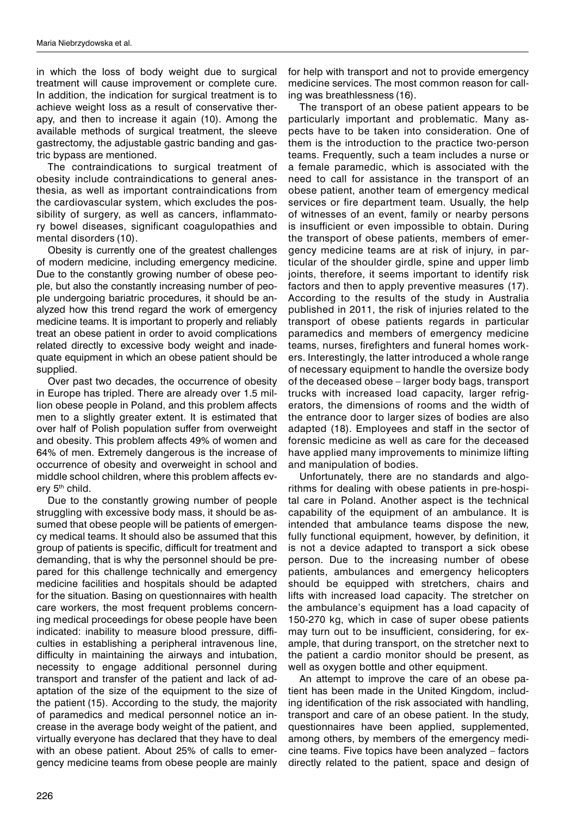in which the loss of body weight due to surgical treatment will cause improvement or complete cure. In addition, the indication for surgical treatment is to achieve weight loss as a result of conservative therapy, and then to increase it again (10). Among the available methods of surgical treatment, the sleeve gastrectomy, the adjustable gastric banding and gastric bypass are mentioned.

The contraindications to surgical treatment of obesity include contraindications to general anesthesia, as well as important contraindications from the cardiovascular system, which excludes the possibility of surgery, as well as cancers, inflammatory bowel diseases, significant coagulopathies and mental disorders (10).

Obesity is currently one of the greatest challenges of modern medicine, including emergency medicine. Due to the constantly growing number of obese people, but also the constantly increasing number of people undergoing bariatric procedures, it should be analyzed how this trend regard the work of emergency medicine teams. It is important to properly and reliably treat an obese patient in order to avoid complications related directly to excessive body weight and inadequate equipment in which an obese patient should be supplied.

Over past two decades, the occurrence of obesity in Europe has tripled. There are already over 1.5 million obese people in Poland, and this problem affects men to a slightly greater extent. It is estimated that over half of Polish population suffer from overweight and obesity. This problem affects 49% of women and 64% of men. Extremely dangerous is the increase of occurrence of obesity and overweight in school and middle school children, where this problem affects every 5<sup>th</sup> child.

Due to the constantly growing number of people struggling with excessive body mass, it should be assumed that obese people will be patients of emergency medical teams. It should also be assumed that this group of patients is specific, difficult for treatment and demanding, that is why the personnel should be prepared for this challenge technically and emergency medicine facilities and hospitals should be adapted for the situation. Basing on questionnaires with health care workers, the most frequent problems concerning medical proceedings for obese people have been indicated: inability to measure blood pressure, difficulties in establishing a peripheral intravenous line, difficulty in maintaining the airways and intubation, necessity to engage additional personnel during transport and transfer of the patient and lack of adaptation of the size of the equipment to the size of the patient (15). According to the study, the majority of paramedics and medical personnel notice an increase in the average body weight of the patient, and virtually everyone has declared that they have to deal with an obese patient. About 25% of calls to emergency medicine teams from obese people are mainly

for help with transport and not to provide emergency medicine services. The most common reason for calling was breathlessness (16).

The transport of an obese patient appears to be particularly important and problematic. Many aspects have to be taken into consideration. One of them is the introduction to the practice two-person teams. Frequently, such a team includes a nurse or a female paramedic, which is associated with the need to call for assistance in the transport of an obese patient, another team of emergency medical services or fire department team. Usually, the help of witnesses of an event, family or nearby persons is insufficient or even impossible to obtain. During the transport of obese patients, members of emergency medicine teams are at risk of injury, in particular of the shoulder girdle, spine and upper limb joints, therefore, it seems important to identify risk factors and then to apply preventive measures (17). According to the results of the study in Australia published in 2011, the risk of injuries related to the transport of obese patients regards in particular paramedics and members of emergency medicine teams, nurses, firefighters and funeral homes workers. Interestingly, the latter introduced a whole range of necessary equipment to handle the oversize body of the deceased obese – larger body bags, transport trucks with increased load capacity, larger refrigerators, the dimensions of rooms and the width of the entrance door to larger sizes of bodies are also adapted (18). Employees and staff in the sector of forensic medicine as well as care for the deceased have applied many improvements to minimize lifting and manipulation of bodies.

Unfortunately, there are no standards and algorithms for dealing with obese patients in pre-hospital care in Poland. Another aspect is the technical capability of the equipment of an ambulance. It is intended that ambulance teams dispose the new, fully functional equipment, however, by definition, it is not a device adapted to transport a sick obese person. Due to the increasing number of obese patients, ambulances and emergency helicopters should be equipped with stretchers, chairs and lifts with increased load capacity. The stretcher on the ambulance's equipment has a load capacity of 150-270 kg, which in case of super obese patients may turn out to be insufficient, considering, for example, that during transport, on the stretcher next to the patient a cardio monitor should be present, as well as oxygen bottle and other equipment.

An attempt to improve the care of an obese patient has been made in the United Kingdom, including identification of the risk associated with handling, transport and care of an obese patient. In the study, questionnaires have been applied, supplemented, among others, by members of the emergency medicine teams. Five topics have been analyzed – factors directly related to the patient, space and design of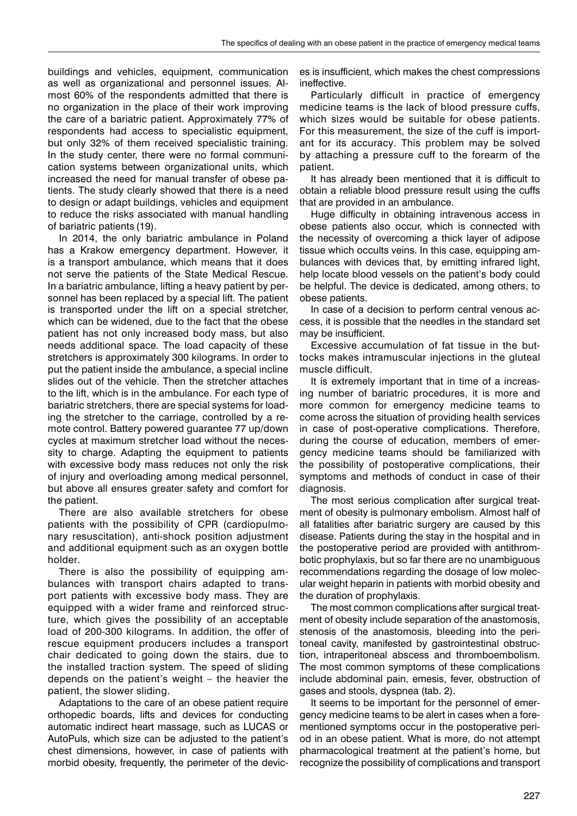buildings and vehicles, equipment, communication as well as organizational and personnel issues. Almost 60% of the respondents admitted that there is no organization in the place of their work improving the care of a bariatric patient. Approximately 77% of respondents had access to specialistic equipment, but only 32% of them received specialistic training. In the study center, there were no formal communication systems between organizational units, which increased the need for manual transfer of obese patients. The study clearly showed that there is a need to design or adapt buildings, vehicles and equipment to reduce the risks associated with manual handling of bariatric patients (19).

In 2014, the only bariatric ambulance in Poland has a Krakow emergency department. However, it is a transport ambulance, which means that it does not serve the patients of the State Medical Rescue. In a bariatric ambulance, lifting a heavy patient by personnel has been replaced by a special lift. The patient is transported under the lift on a special stretcher, which can be widened, due to the fact that the obese patient has not only increased body mass, but also needs additional space. The load capacity of these stretchers is approximately 300 kilograms. In order to put the patient inside the ambulance, a special incline slides out of the vehicle. Then the stretcher attaches to the lift, which is in the ambulance. For each type of bariatric stretchers, there are special systems for loading the stretcher to the carriage, controlled by a remote control. Battery powered guarantee 77 up/down cycles at maximum stretcher load without the necessity to charge. Adapting the equipment to patients with excessive body mass reduces not only the risk of injury and overloading among medical personnel, but above all ensures greater safety and comfort for the patient.

There are also available stretchers for obese patients with the possibility of CPR (cardiopulmonary resuscitation), anti-shock position adjustment and additional equipment such as an oxygen bottle holder.

There is also the possibility of equipping ambulances with transport chairs adapted to transport patients with excessive body mass. They are equipped with a wider frame and reinforced structure, which gives the possibility of an acceptable load of 200-300 kilograms. In addition, the offer of rescue equipment producers includes a transport chair dedicated to going down the stairs, due to the installed traction system. The speed of sliding depends on the patient's weight – the heavier the patient, the slower sliding.

Adaptations to the care of an obese patient require orthopedic boards, lifts and devices for conducting automatic indirect heart massage, such as LUCAS or AutoPuls, which size can be adjusted to the patient's chest dimensions, however, in case of patients with morbid obesity, frequently, the perimeter of the devices is insufficient, which makes the chest compressions ineffective.

Particularly difficult in practice of emergency medicine teams is the lack of blood pressure cuffs, which sizes would be suitable for obese patients. For this measurement, the size of the cuff is important for its accuracy. This problem may be solved by attaching a pressure cuff to the forearm of the patient.

It has already been mentioned that it is difficult to obtain a reliable blood pressure result using the cuffs that are provided in an ambulance.

Huge difficulty in obtaining intravenous access in obese patients also occur, which is connected with the necessity of overcoming a thick layer of adipose tissue which occults veins. In this case, equipping ambulances with devices that, by emitting infrared light, help locate blood vessels on the patient's body could be helpful. The device is dedicated, among others, to obese patients.

In case of a decision to perform central venous access, it is possible that the needles in the standard set may be insufficient.

Excessive accumulation of fat tissue in the buttocks makes intramuscular injections in the gluteal muscle difficult.

It is extremely important that in time of a increasing number of bariatric procedures, it is more and more common for emergency medicine teams to come across the situation of providing health services in case of post-operative complications. Therefore, during the course of education, members of emergency medicine teams should be familiarized with the possibility of postoperative complications, their symptoms and methods of conduct in case of their diagnosis.

The most serious complication after surgical treatment of obesity is pulmonary embolism. Almost half of all fatalities after bariatric surgery are caused by this disease. Patients during the stay in the hospital and in the postoperative period are provided with antithrombotic prophylaxis, but so far there are no unambiguous recommendations regarding the dosage of low molecular weight heparin in patients with morbid obesity and the duration of prophylaxis.

The most common complications after surgical treatment of obesity include separation of the anastomosis, stenosis of the anastomosis, bleeding into the peritoneal cavity, manifested by gastrointestinal obstruction, intraperitoneal abscess and thromboembolism. The most common symptoms of these complications include abdominal pain, emesis, fever, obstruction of gases and stools, dyspnea (tab. 2).

It seems to be important for the personnel of emergency medicine teams to be alert in cases when a forementioned symptoms occur in the postoperative period in an obese patient. What is more, do not attempt pharmacological treatment at the patient's home, but recognize the possibility of complications and transport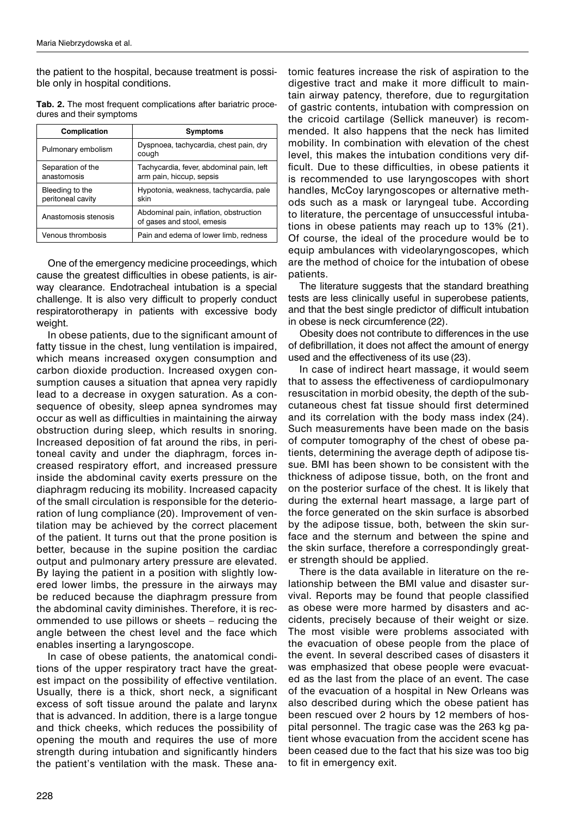the patient to the hospital, because treatment is possible only in hospital conditions.

**Tab. 2.** The most frequent complications after bariatric procedures and their symptoms

| Complication                         | Symptoms                                                             |
|--------------------------------------|----------------------------------------------------------------------|
| Pulmonary embolism                   | Dyspnoea, tachycardia, chest pain, dry<br>cough                      |
| Separation of the<br>anastomosis     | Tachycardia, fever, abdominal pain, left<br>arm pain, hiccup, sepsis |
| Bleeding to the<br>peritoneal cavity | Hypotonia, weakness, tachycardia, pale<br>skin                       |
| Anastomosis stenosis                 | Abdominal pain, inflation, obstruction<br>of gases and stool, emesis |
| Venous thrombosis                    | Pain and edema of lower limb, redness                                |

One of the emergency medicine proceedings, which cause the greatest difficulties in obese patients, is airway clearance. Endotracheal intubation is a special challenge. It is also very difficult to properly conduct respiratorotherapy in patients with excessive body weight.

In obese patients, due to the significant amount of fatty tissue in the chest, lung ventilation is impaired, which means increased oxygen consumption and carbon dioxide production. Increased oxygen consumption causes a situation that apnea very rapidly lead to a decrease in oxygen saturation. As a consequence of obesity, sleep apnea syndromes may occur as well as difficulties in maintaining the airway obstruction during sleep, which results in snoring. Increased deposition of fat around the ribs, in peritoneal cavity and under the diaphragm, forces increased respiratory effort, and increased pressure inside the abdominal cavity exerts pressure on the diaphragm reducing its mobility. Increased capacity of the small circulation is responsible for the deterioration of lung compliance (20). Improvement of ventilation may be achieved by the correct placement of the patient. It turns out that the prone position is better, because in the supine position the cardiac output and pulmonary artery pressure are elevated. By laying the patient in a position with slightly lowered lower limbs, the pressure in the airways may be reduced because the diaphragm pressure from the abdominal cavity diminishes. Therefore, it is recommended to use pillows or sheets – reducing the angle between the chest level and the face which enables inserting a laryngoscope.

In case of obese patients, the anatomical conditions of the upper respiratory tract have the greatest impact on the possibility of effective ventilation. Usually, there is a thick, short neck, a significant excess of soft tissue around the palate and larynx that is advanced. In addition, there is a large tongue and thick cheeks, which reduces the possibility of opening the mouth and requires the use of more strength during intubation and significantly hinders the patient's ventilation with the mask. These ana-

tomic features increase the risk of aspiration to the digestive tract and make it more difficult to maintain airway patency, therefore, due to regurgitation of gastric contents, intubation with compression on the cricoid cartilage (Sellick maneuver) is recommended. It also happens that the neck has limited mobility. In combination with elevation of the chest level, this makes the intubation conditions very difficult. Due to these difficulties, in obese patients it is recommended to use laryngoscopes with short handles, McCoy laryngoscopes or alternative methods such as a mask or laryngeal tube. According to literature, the percentage of unsuccessful intubations in obese patients may reach up to 13% (21). Of course, the ideal of the procedure would be to equip ambulances with videolaryngoscopes, which are the method of choice for the intubation of obese patients.

The literature suggests that the standard breathing tests are less clinically useful in superobese patients, and that the best single predictor of difficult intubation in obese is neck circumference (22).

Obesity does not contribute to differences in the use of defibrillation, it does not affect the amount of energy used and the effectiveness of its use (23).

In case of indirect heart massage, it would seem that to assess the effectiveness of cardiopulmonary resuscitation in morbid obesity, the depth of the subcutaneous chest fat tissue should first determined and its correlation with the body mass index (24). Such measurements have been made on the basis of computer tomography of the chest of obese patients, determining the average depth of adipose tissue. BMI has been shown to be consistent with the thickness of adipose tissue, both, on the front and on the posterior surface of the chest. It is likely that during the external heart massage, a large part of the force generated on the skin surface is absorbed by the adipose tissue, both, between the skin surface and the sternum and between the spine and the skin surface, therefore a correspondingly greater strength should be applied.

There is the data available in literature on the relationship between the BMI value and disaster survival. Reports may be found that people classified as obese were more harmed by disasters and accidents, precisely because of their weight or size. The most visible were problems associated with the evacuation of obese people from the place of the event. In several described cases of disasters it was emphasized that obese people were evacuated as the last from the place of an event. The case of the evacuation of a hospital in New Orleans was also described during which the obese patient has been rescued over 2 hours by 12 members of hospital personnel. The tragic case was the 263 kg patient whose evacuation from the accident scene has been ceased due to the fact that his size was too big to fit in emergency exit.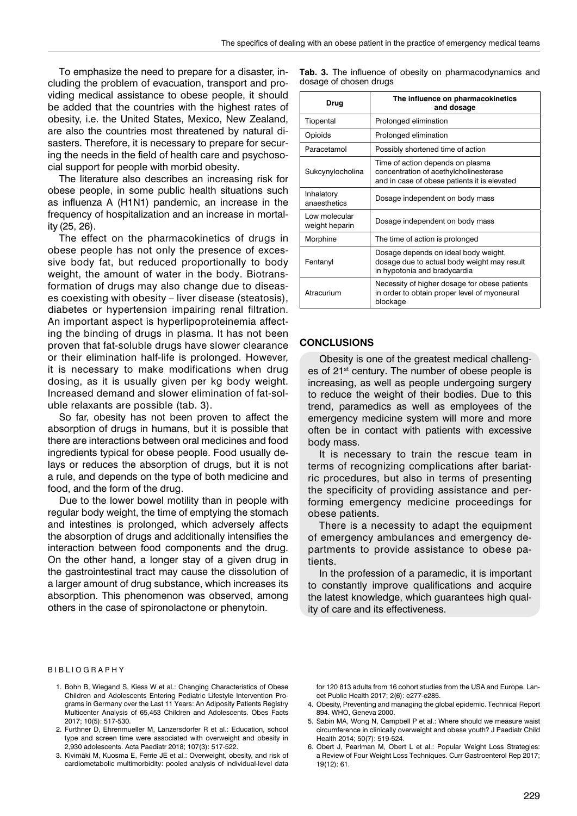To emphasize the need to prepare for a disaster, including the problem of evacuation, transport and providing medical assistance to obese people, it should be added that the countries with the highest rates of obesity, i.e. the United States, Mexico, New Zealand, are also the countries most threatened by natural disasters. Therefore, it is necessary to prepare for securing the needs in the field of health care and psychosocial support for people with morbid obesity.

The literature also describes an increasing risk for obese people, in some public health situations such as influenza A (H1N1) pandemic, an increase in the frequency of hospitalization and an increase in mortality (25, 26).

The effect on the pharmacokinetics of drugs in obese people has not only the presence of excessive body fat, but reduced proportionally to body weight, the amount of water in the body. Biotransformation of drugs may also change due to diseases coexisting with obesity – liver disease (steatosis), diabetes or hypertension impairing renal filtration. An important aspect is hyperlipoproteinemia affecting the binding of drugs in plasma. It has not been proven that fat-soluble drugs have slower clearance or their elimination half-life is prolonged. However, it is necessary to make modifications when drug dosing, as it is usually given per kg body weight. Increased demand and slower elimination of fat-soluble relaxants are possible (tab. 3).

So far, obesity has not been proven to affect the absorption of drugs in humans, but it is possible that there are interactions between oral medicines and food ingredients typical for obese people. Food usually delays or reduces the absorption of drugs, but it is not a rule, and depends on the type of both medicine and food, and the form of the drug.

Due to the lower bowel motility than in people with regular body weight, the time of emptying the stomach and intestines is prolonged, which adversely affects the absorption of drugs and additionally intensifies the interaction between food components and the drug. On the other hand, a longer stay of a given drug in the gastrointestinal tract may cause the dissolution of a larger amount of drug substance, which increases its absorption. This phenomenon was observed, among others in the case of spironolactone or phenytoin.

**Tab. 3.** The influence of obesity on pharmacodynamics and dosage of chosen drugs

| Drug                            | The influence on pharmacokinetics<br>and dosage                                                                            |
|---------------------------------|----------------------------------------------------------------------------------------------------------------------------|
| Tiopental                       | Prolonged elimination                                                                                                      |
| Opioids                         | Prolonged elimination                                                                                                      |
| Paracetamol                     | Possibly shortened time of action                                                                                          |
| Sukcynylocholina                | Time of action depends on plasma<br>concentration of acethylcholinesterase<br>and in case of obese patients it is elevated |
| Inhalatory<br>anaesthetics      | Dosage independent on body mass                                                                                            |
| Low molecular<br>weight heparin | Dosage independent on body mass                                                                                            |
| Morphine                        | The time of action is prolonged                                                                                            |
| Fentanyl                        | Dosage depends on ideal body weight,<br>dosage due to actual body weight may result<br>in hypotonia and bradycardia        |
| Atracurium                      | Necessity of higher dosage for obese patients<br>in order to obtain proper level of myoneural<br>blockage                  |

## **CONCLUSIONS**

Obesity is one of the greatest medical challenges of 21<sup>st</sup> century. The number of obese people is increasing, as well as people undergoing surgery to reduce the weight of their bodies. Due to this trend, paramedics as well as employees of the emergency medicine system will more and more often be in contact with patients with excessive body mass.

It is necessary to train the rescue team in terms of recognizing complications after bariatric procedures, but also in terms of presenting the specificity of providing assistance and performing emergency medicine proceedings for obese patients.

There is a necessity to adapt the equipment of emergency ambulances and emergency departments to provide assistance to obese patients.

In the profession of a paramedic, it is important to constantly improve qualifications and acquire the latest knowledge, which guarantees high quality of care and its effectiveness.

#### BIBLIOGRAPHY

- 1. Bohn B, Wiegand S, Kiess W et al.: Changing Characteristics of Obese Children and Adolescents Entering Pediatric Lifestyle Intervention Programs in Germany over the Last 11 Years: An Adiposity Patients Registry Multicenter Analysis of 65,453 Children and Adolescents. Obes Facts 2017; 10(5): 517-530.
- 2. Furthner D, Ehrenmueller M, Lanzersdorfer R et al.: Education, school type and screen time were associated with overweight and obesity in 2,930 adolescents. Acta Paediatr 2018; 107(3): 517-522.
- 3. Kivimäki M, Kuosma E, Ferrie JE et al.: Overweight, obesity, and risk of cardiometabolic multimorbidity: pooled analysis of individual-level data

for 120 813 adults from 16 cohort studies from the USA and Europe. Lancet Public Health 2017; 2(6): e277-e285.

- 4. Obesity, Preventing and managing the global epidemic. Technical Report 894. WHO, Geneva 2000.
- 5. Sabin MA, Wong N, Campbell P et al.: Where should we measure waist circumference in clinically overweight and obese youth? J Paediatr Child Health 2014; 50(7): 519-524.
- 6. Obert J, Pearlman M, Obert L et al.: Popular Weight Loss Strategies: a Review of Four Weight Loss Techniques. Curr Gastroenterol Rep 2017; 19(12): 61.